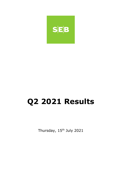

# **Q2 2021 Results**

Thursday, 15<sup>th</sup> July 2021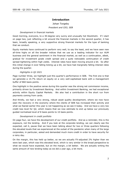# **Introduction**

# Johan Torgeby *President and CEO, SEB*

# *Development in financial markets*

Good morning, everyone, to a 30-degree very sunny and unusually hot Stockholm. If I start on page two, just reflecting a bit around the financial markets in the second quarter, it has been, broadly speaking, a very supportive strong financial markets for the type of banking that we conduct.

Equity markets have continued to perform very well, to say the least, and we have seen new all-time highs on all the broader indices that we use as a leading indicator for our AUM business and the general sentiment in the financial market, as well as a continuation, albeit, gradual for investment grade credit spread and a quite noticeable continuation of credit spread tightening within high yields. Interest rates have been moving around a bit. So after this initial change in ever falling ticking up a bit, we have had marginally falling interest rates during the quarter.

# *Highlights in Q2 2021*

Page number three, we highlight just this quarter's performance in SEB. The first one is that we generate a 14.7% return on equity on a very well-capitalised bank with a management buffer of 860 basis points.

One highlight in the positive sense during this quarter was the strong net commission income, primarily driven by Investment Banking. And within Investment Banking, we had exceptional activity within Equity Capital Markets. We also had a contribution in the short run from payments coming from cards.

And thirdly, we had a very strong, robust asset quality development, where we now have seen the recovery in the economy where the clients of SEB has increased their activity and what we feared earlier this year is not happening as we see it today. And we have a very low credit loss level for Q2, which means that we now estimate to end up below our previously guided normalised level of 8 basis points to 10 basis points.

# *Development in credit portfolio*

On page four, we have the development of our credit portfolio. And as a reminder, this is the exposure, not the lending. And if you look at the corporate lending, we can clearly see the expected, call it, pause that we have been talking about for two or three quarters following the elevated levels that we experienced at the outset of the pandemic when many of the large corporates, in particular, asked and demanded much more credit in order to have security for a rainy day.

On the margin, this has held up better, so we are actually FX-adjusted 2% higher than we were last year, which was this elevated level, which is very similar in the broad perspective to what we would have expected, but on the margin, a bit better. We are actually writing the same amount of new lending today as we did a year ago, a bit more.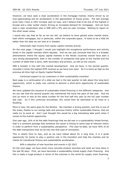However, we have seen a clear acceleration in the mortgage market, mainly driven by an ever-appreciating and an acceleration in the appreciation of house prices. The last average price note I have is 18% increase year-on-year, and I believe that to be one of the highest in Europe and a clear outlier clearly driving an increased demand for mortgages. And we have seen a clear acceleration also in SEB with a 9% year-on-year increase. Nothing to report on the other lesser areas.

I would also say that as far as we can tell, we believe to have gained some market share, both within mortgages, but in particular, within the corporate space. It looks to be a little bit better than the data we can look at in Sweden.

### *Historically high income from equity capital markets activity*

On the next page, I thought I would just highlight the exceptional performance and activity levels in the capital markets within equities. And we can just conclude that this is a broader phenomenon where the equity capital markets in the Nordic countries overall have seen a very strong development, both in the number of companies that goes to the market and the number of deals that is done, both secondary and primary, as well as the volume.

SEB is broadly in line with this market development. And we have, in the second quarter, recorded 2 times the highest ECM revenue as we have ever seen. So it is twice as high as the previous all-time high on Equity Capital Markets.

### *Continued support to our customers in their sustainability transition*

Next page is a continuation of a slide we had in the last quarter to talk about this long-term opportunity, which is really now coming to become a short-term opportunity of sustainable finance.

We have updated the issuance of sustainable linked financing in the different categories. And we can see that the second quarter has maintained the twice the pace of last year. And we end up more or less at the same number for the first half this year as the full year number last year. So if this continues annualised, this would then be estimated to be close to a doubling.

More or less, the same goes for the Nordics. We maintain a strong position, and this is one of the areas, thanks to our energy bets and previous history within sustainable finance, that we really try to excel at. And I just thought this would be a big interesting data point when it comes to the market opportunity.

One year ago, 16% of all the debt financings that we did was in a sustainability linked format, that is a covenant package that somehow the issuer is linking to some type of relevant metric in order to perform from a sustainability perspective. This year-to-date, we have 40% of all the debt transactions that we do has now that type of connection.

This is clearly here to stay, and as we have talked about for a long time, it is a great opportunity for banks to play a positive role in the transition and help the markets and its clients for transitional finance and sustainability acceleration.

#### *With a selection of new launches and events in Q2 2021*

On the next page, we have some more concrete product launches and what we have done in the last 90 days. First, we have launched a sustainability-linked supply chain financing. And this is really a huge product in terms of the volumes in the world for supply chain financing.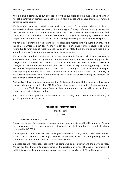And it allows a company to put criterias in for their suppliers and the supply chain that they will get incentives or disincentives depending on how they act and behave themselves when it comes to sustainability.

We have also launched a retail green savings account. So a deposit where the deposit earmarked in these deposit savings go for some type of energy efficient housing within the bank, so we have a commitment to what we all lend that money to. We have also launched our ninth Microfinance Fund. This is predominantly targeted to emerging markets to help people of lesser means to start businesses and entrepreneurship in the microfinance space.

We have also launched a web interface for sustainable metrics within private banking. And this is a tool where you can specify and you can see, in any given portfolio equity, and in the future, funds, what type of footprint does this equity portfolio have and make sure that it is in line with the client's own preferences on what one invests in.

We have also now had the first exit from our incubator in Norway, which is a sustainable entrepreneurship, clean tech green-tech entrepreneurship, where we, without any particular charge, allow companies to come into SEB and use all our resources in order to create a stronger momentum for their business. And this has been a very interesting journey for us as we are now complementing our fin-tech with clean tech and green tech as entrepreneurship is now exploding within this area. And it is important for financial institutions, such as SEB, to assist these companies, both in the financing, but also in the advisory using the network we have available for their benefit.

And lastly, it has now been announced the 28 banks, of which SEB is one, who has been named primary dealers for the EU NextGeneration programme, which if you remember correctly is an €800 billion green financing bond programme, and we will be one of those primary dealers to take part in that.

With that little short update on recent events in the quarter, I hand over to Masih, our CFO, to go through the financial results.

# **Financial Performance**

Masih Yazdi *CFO, SEB*

#### *Financial summary Q2 2021*

Thank you, Johan. So let us move to page number nine and dig into the Q2 numbers. As you can see compared to the previous quarter, income is marginally up, but it is marginally down compared to Q2 2020.

The composition of income has clearly changed, whereas both in Q1 and Q2 last year, the net financial income line was a bit larger, whereas in this quarter, we see an improving trend in net interest income and net fee and commission income.

Expenses are well managed, just slightly up compared to last quarter and the previous year. We can see that the cost-to-income ratio in the quarter is at 0.42. The capital has improved to 21.1%. And as Johan mentioned before, the return on equity is 14.7% in the quarter.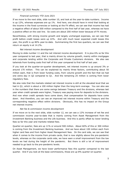### *Financial summary YTD June 2021*

If we move to the next slide, slide number 10, and look at the year-to-date numbers. Income is up 12%, whereas expenses are up 1%. And here, one should have in mind that looking at the income in the fixed currencies or looking at the FX effect, we can see that income has had a negative effect of about 500 million compared to the first half of last year, whereas we have a positive effect on the cost line. So costs are about 200 million lower because of FX moves.

Nevertheless, with strong income growth and largely unchanged expenses, we can see that profit before credit losses were up 22%. And with much lower expected credit losses this year, the profit is up 80% year-to-date. Summarising the first two quarters, we can see that return on equity is at 14.2%.

#### *Net interest income development*

Moving to slide number 11 and the net interest income development. It is plus 6% so far this year compared to last year, that is mainly driven by volume growth, mainly within mortgages and corporate lending within the Corporate and Private Customers divisions. We also see tailwinds from funding costs first half of this year compared to first half of last year.

If you look at the quarter-on-quarter development, net interest income is up around 3% or around 170 million. This can be explained by mainly three factors, contributing about 50 million each, that is from lower funding costs, from volume growth and the fact that we had one extra day in Q2 compared to Q1. And the remaining 25 million is coming from lower regulatory fees.

We also note that the markets related net interest income is still at the elevated level that we had in Q1, which is about a 100 million higher than the long-term average. You can also see in the numbers that there are some swings between Treasury and the divisions, whereas last year when credit spreads were higher, Treasury was paying more for deposits to the divisions. And now when credit spreads have come down, that compensation for deposits have come down. And therefore, you can see an improved net interest income within Treasury and the corresponding negative effect within divisions. Obviously, this has no impact on the Group net interest income.

#### *Net fee & commission income development*

If we move on to the next slide, slide number 12, we can see a 12% increase of net fee and commission income year-to-date that is mainly coming from Asset Management from the Investment Banking business and the Life business. And this is partly offset by lower lending fees so far this year and markets-related fees.

Quarter-on-quarter, fees are up 11% or around 500 million. About 60% of this or 300 million is coming from the Investment Banking business. And we have about 100 million each from higher card fees and from higher Asset Management fees. On the card side, we can see that when it comes to the income from private cards, that is now slightly above the pre-pandemic levels, whereas on the corporate cards side, we have seen a small improvement from the low levels we had during the height of the pandemic. But there is still a lot of improvement needed to go back to the pre-pandemic levels.

On Asset Management, we have lower performance fees this quarter compared to the last quarter. And if you look at the base commissions, those are up 8% quarter-on-quarter.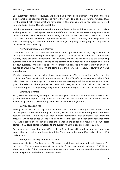On Investment Banking, obviously we have had a very good quarter. We think that the pipeline still looks good for the second half of the year. It might be more tilted towards M&A for the second half versus what we have seen in the first half, which had been more tilted towards Equity Capital Markets and IPOs.

I think it is also encouraging to see that the net inflows in the bank has improved to 25 billion in the quarter, fairly well spread across the different businesses, so Asset Management sales to institutional clients within Private Banking and also within the C&PC division to private customers. And we can see an improvement when it comes to advising on savings when we advise on mortgages. And that the monthly savings are going up fairly rapidly compared to the levels we saw a year ago.

### *Net financial income development*

If we move on to the next slide, net financial income, up 42% year-to-date, very much due to the negative numbers we reported in Q1 last year at the height of the pandemic. Quarter-onquarter, there are some movements. NFI is down, and that is mainly due to the underlying business within fixed income, currencies and commodities, which has had a better level in the last few quarters. And now due to lower volatility, we can see a negative effect quarter-onquarter of around 300 million. At the same time, the NFI within Treasury is lower than it was a quarter ago.

We also, obviously on this slide, have some valuation effects comparing to O1, but the contribution from the strategic shares as well as the XVA effects are combined about 500 million less than it was in Q1. At the same time, we have reported the valuation gain on Tink, given the sale and the exposure we have had there, of about 500 million. So that is compensating for the negative Q-on-Q effects from the strategic shares and the XVA effect.

#### *Operating leverage*

Next, slide 14, operating leverage. So far this year, with income up around a billion per quarter and with expenses largely flat, we can see that the pre-provision or pre-credit losses income is up around a billion per quarter. Let us see how the year ends.

# *Capital development*

Moving to slide 15 and the capital development. We have had a very good contribution from the net profits in the bank during the quarter, 86 basis points or 43 basis points after 50% accrued dividend. We have also seen a more normalised level of market risk exposure amounts, which has added 36 basis points to the capital base, and then some tailwinds from FX. And altogether, we can see that the management buffer has moved from 780 basis points to 860 basis points compared to the current minimum requirements of 12.5%.

One should note here that from Q3, the Pillar 2 guidance will be added, and we right now expect that our capital requirements will by Q3 go up by between 100 basis points to 150 basis points.

#### *Strong asset quality and balance sheet*

Moving to slide 16, a few key ratios. Obviously, much lower net expected credit losses so far this year. We have seen a very strong growth of customer deposits of almost 300 billion. About two-thirds of this is coming from financial corporates. And we note that now the core loan-to-depo ratio in the bank is down to 103%.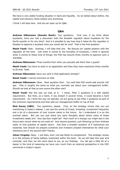We have a very stable funding situation in bank and liquidity. As we talked about before, the capital and solvency ratios looked very promising.

I think I will stop here. And we can open up for Q&A.

# **Q&A**

**Andreas Håkansson (Danske Bank):** Two questions. First one, if we think about buybacks, have you had a discussion with the Swedish regulator about buybacks for the fourth quarter or for any time? And is it possible to say how long it takes for the regulator in Sweden to approve a buyback once you would ask for one? That is the first question.

**Masih Yazdi:** Yeah. Andreas, I will take that one. We discuss our capital position with the regulator all the time. Just when it comes to the formality of buybacks, I think in general when it comes to these kind of things, the FSA has around three months to approve such a mandate.

**Andreas Håkansson:** Three months from when you actually ask them then I guess?

**Masih Yazdi:** You have to send in an application and then they have maximum three months to do that. Yeah.

**Andreas Håkansson:** Have you sent in that application already?

**Masih Yazdi:** I cannot comment on that.

**Andreas Håkansson:** Okay. Next question then. You said that P2G would add around 150 bps. That is roughly the same as what you normally say about your management buffer. Should we look at that as one covers the other one?

**Masih Yazdi:** Not the way we look at it. I mean, Pillar 2 guidance is a soft capital requirement. But then, as a bank, if you breach it several times, it could become a hard requirement. So I think the way we operate, we are going to see Pillar 2 guidance as part of the minimum requirements and then add our management buffer on top of that.

**Nick Davey (UBS):** Two questions, please. First, on the strategy review that you are mentioning in today's release, I can see the words of invest, investing, investment frequently and a bit of a discussion of cost income ratios in the future. So I understand it is on the summer plans. But can you just share any early thoughts about where some of these investment needs are? How big they might be? How much of a change you might see in the future plan versus what we are used to? And second question, just following up from Andreas really on this question of capital return. Just then a broader question of if restrictions are loosened, how should we prepare ourselves and investors prepare themselves for what your intentions are in the second half? Thanks.

**Johan Torgeby:** Okay. I will start, and I will ask Masih to complement. The strategic review is in the process of being halfway conducted within the bank. So we will take this year and conclude, and then we will come back to you on our findings. You did get a little bit of a teaser in the kind of reasoning we have very much from an external perspective in the CEO comments in today's report.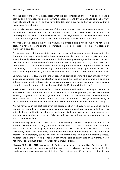And the areas are very, I hope, clear what we are considering there. It is an increasing activity and future need for being relevant in Corporate and Investment Banking. It is very much aligned with our DNA, and we have definitely both a quarter and a year behind us that I think supports that point.

We can also see an internationalisation of the Nordic and Northern European companies. We will definitely have an ambition to continue to invest in and have a very wide and nice capability for our clients in the broader world. The mega trends of sustainability, regulatory compliance and digitisation will remain. And if anything, they will be accentuated.

And yes, I agree. Maybe the word is frequent on invest, but it is not like we have not in the past. We have just done it under a prerequisite of a falling cost-to-income for a decade or more than a decade.

So to your last point on what to expect in terms of investment when it comes to the financials, it is very much aligned with our previously guided new divisional targets. And what is very hopefully clear when we went out with that a few quarters ago is that we kind of think that the current cost-to-income of around the 45. We have gone from 0.64, I think, we point to this level. It is about where we think it is an appropriate level not to go down to 0.35. You start having the risk of underinvesting. And you do not want to go up to the 0.55, which is more the average of Europe, because we do not think that is necessarily an easy income play.

So where we are today, we are kind of reasoning around allowing this cost efficiency, very prudent and targeted resource allocation to be around this level, which of course is a quite big difference from what we have said for many, many years, which has been a nominal cost cap regardless in order to make the bank more efficient. Masih, anything to add?

**Masih Yazdi:** I think that was perfect. I have nothing to add to that. I can try to respond to your second question on the capital return and how you should prepare yourself. We are still awaiting the guidance from the regulator here. I am sure that in the next couple of months we will hear more. And one has to admit that right now the base case, given the recovery in the economy, is that the dividend restrictions will be lifted or be looser than they are today.

And we have said in the past that given the capital position we have, we will come back to the market with some kind of a response or communication around how we deal with this. It is going to be a combination of share buybacks and dividends. And exactly what comes first and what comes later, we have not fully decided. And we will do that and communicate to you as soon as we know.

What I can say generally is that this is not something that will change from one day to another. So on 3rd September, you cannot do dividends. And on 1st October, you can do as much as you want. It is going to be a gradual process. That is how we look at it. The uncertainty about the pandemic, the uncertainty about the economy will be a gradual process. And therefore, our optimisation of our capital base will also be a gradual process, whether that means it is going to take a year or two years or six months or 18 months, we do not know yet. But just prepare yourself for a gradual process.

**Nicolas McBeath (DNB Markets):** So first, a question on asset quality. So it seems like now that some of the scenarios and the loan loss provisions you took early on in the pandemic may have been on the high side. So I just wonder, if you have any thoughts on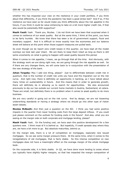whether this has impacted your view on the resilience in your credit portfolio, if you think about that differently, if you think the pandemic has been a good stress test? And if so, if the resilience we have seen so far would make you think differently about the risk appetite in the future, if you think it could be value enhancing to take on a bit more higher credit risk, if that also would be potentially ROE supportive?

**Masih Yazdi:** Yeah. Thank you, Nicolas. I do not think we have been that surprised when it comes to resilience of our asset quality. But at the same time, I think at this point, you have to be fairly humble. We know that there has been a lot of government support, fiscal and monetary support. And it is difficult to know exactly how the economies and our balance sheet will behave at this point when those support measures are pulled back.

So even though we do report zero credit losses in this quarter, we have kept all the model overlays we took last year intact. We are likely to keep them intact as long as there is still some uncertainty on what is going to happen with asset quality beyond this period.

When it comes to risk appetite, I mean, we go through that all the time. And obviously, with the strategy work we are doing right now, we are going through the risk appetite as well. So if there are any changes there, we will come back to in conjunction with the presentation of the new strategy of the bank.

**Johan Torgeby:** May I add one thing, please? Just to differentiate between credit risk in quantum, that is the number of credit risk units you have and the migration out on the risk curve. And right now, there is definitely an opportunity in banking, as I have talked about many times on sustainability in future. And this means that in order to generate growth, there will definitely be in allowing us to search for opportunities. We also announced previously to dip our toe outside our current home markets in Austria, Switzerland, et cetera. These are small, but definitely there is no problem when it comes to asset quality to do more business.

We are very careful in going out on the risk curve. And by design, we are not loosening underwriting standards or having a strategy where we should go into other type of riskier asset classes.

**Nicolas McBeath:** And then just a question on the NII. I think you had some positive impacts in the quarter from lower funding costs from the large deposit inflows. If you could just please comment on the outlook for funding costs in the future? And also, what you are seeing on the margin side on both corporate and mortgage lending, please?

**Masih Yazdi:** Yeah. On the funding cost, we have seen this positive development for a few quarters now. I think most of it is behind us. But hopefully, if credit spreads stay where they are, we have a bit more to go. But absolute maturities, behind us.

On the margin side, there is a lot of competition on mortgages, especially new issued mortgages. So we see some margin pressure there. At the same time, when it comes to the renegotiations of old mortgages, that is fairly stable. So this intense competition on new mortgages does not have a meaningful effect on the average margin of the whole mortgage book.

On the corporate side, it is fairly stable. In Q2, we have done more lending to areas where you typically have slightly higher margins, so that has impacted the margin composition of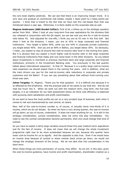the core book slightly positively. We can see that there is an improving margin trend. It is very slow and gradual on commercial real estate, maybe 1 basis point to 2 basis points per quarter. I think that is linked to the fact that we have had this risk-based floor that was introduced about a year ago. Otherwise, it is fairly stable on the corporate side as well.

**Magnus Andersson (ABG Sundal Collier):** First of all, a follow-up on the strategic question earlier from Nick. When I look at your long-term five-year aspirations for the divisions that you released in conjunction with the Q4 report, we can see now you aim for a cost-to-income ratio below 45. And adjusted for one-offs, I think you are at 43 now in the first half. But when I look at the divisions, I mean, you are at 42% in large corporate and financial institutions. Your target is below 50%, while you are 44% in corporate private customers, you target below 40%. And you are at 40% in Baltics, you target below 35%. So obviously, I mean, you expect to stay at around this cost-to-income ratio level in the coming five years. But it is obvious that you expect a much higher cost-to-income ratio in the large corporate and financial institutions than today and vice versa lower in the other divisions. So you talked about investments in merchant or previous merchant bank and large corporate and financial institutions, primarily in the Investment Banking area. You previously in the last quarter talked about international expansion. Is that it? Because it is a pretty large cost-to-income ratio expansion we should expect there in the coming five years. And in addition, what are the main drivers you see for the cost-to-income ratio reductions in corporate and private customers and the Baltic? If you can say something about that without front-running your three-year plan.

**Johan Torgeby:** Hi, Magnus. Thank you for that question. It is a difficult one because it is so affected by the timeframe. And the practical side of me wants to say that this. And do not read too much into it. When we went out with the medium term, long term, the five-year targets, it is an indication for our best assessment where we think cost efficiency is balanced with pursuing client satisfaction and profit maximisation.

So we want to have the most profits we can on a very prudent type of business, both when it comes to risk and characterised by cost control, et cetera.

Now, half of the cost-to-income number is, of course, or actually twice—two-thirds of it is income, which we do not dictate. So when we have a very strong quarter, the cost-to-income will go down, as you of course, understand. It does not mean anything for us. It is still in the strategic consideration, cyclical consideration, does not come into play immediately. You need to see the cyclical consideration become permanent, then one could change that kind of outlook.

So you have to expect a fairly large variation around those five-year medium-term aspirations just for the fact of income. It does not mean that we will change the whole investment programme right now to be more accelerated because we can, because this quarter have lower cost-to-income for us to signify. And the opposite is also true. Even if we would have an income drop because of cyclical or share market stock prices go down, we would not change the strategic direction of the Group. We do not take that into consideration in the short term.

When those things are more permanent, of course, they affect. So we will, in this plan, given the cost-to-income guidance, have income and profit maximisation, shareholder creation as a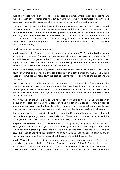guiding principle with a more kind of fixed cost-to-income, where costs and income are related to each other, rather than the last 12 years, where we have completely disconnected costs from income. So regardless of income, we have said what the cost should be.

But in practical terms, we will still use in the future cost targets, yearly cost targets. We will be very stringent on costing what we are supposed to and then income will be one way. What we are seeing today is not what we did last quarter. It is what we did years ago. So what we are doing now, we can evaluate in some years. So it is nice to have in our book an unusually solid and robust result, but it is the fruit of many, many years of work that we see here today. So we will not change the costs next quarter or tomorrow because we come up with these numbers today.

Masih, do you want to add something?

**Masih Yazdi:** Yeah. I mean, I can just add on your question on C&PC and the Baltics. When it comes to those type of operations, they are typically more scale-based in the sense that if you add Swedish mortgages to the C&PC division, the marginal cost of doing that is not that large. So we do see that with the sort of current set up we have, we can add more scale, which over time will drive down the cost-to-income ratio.

We also see a scope, given how customers are behaving on changing their behaviours to take down—over time take down the physical presence within both Baltics and C&PC. So I think those two combined will take down the cost-to-income ratios over time to the aspirations we have set.

Just a sort of a CFO reflection on what Johan said. So we typically—if you look at the business we conduct, we have two input variables. We have labour and we have capital. Labour, you can see in the P&L line. Capital you see on the capital consumption. We have to look at how we optimise the usage of both these two to maximise the profit generation and the client satisfaction.

And if you look at the LC&FI division, we have been very hard on them on their utilisation of labour in the past, but being fairly loose on their utilisation on capital. From a financial steering perspective, what that leads to is that you do a lot of lending, but you do not do that much advisory, because advisory costs a lot of labour and lending just costs a lot of capital.

And we want to find the perfect balance here that after 10 years of being loose on capital and hard on labour, you might want to have a slightly different mix to optimise the return and the profit generation of that division. So this is another way of looking at it.

**Magnus Andersson:** I think we will come back to this probably along the way and not least when you present your three-year plan. Secondly, just on capital, following up there. You talked about the gradual process, and obviously, you do not know what the FSA is going to say. But what do you think realistically? When do you think that you can be down below or within your management buffer range of 100 basis points to 300 basis points?

**Masih Yazdi:** It is a very difficult question. A lot of things can move around. I mean, we typically do not do acquisitions. But what if we would do one of those? That would consume some capital. There are so many moving parts. But a way of looking at it is if you look at share buybacks, which in the future will be a part of our capital distribution, there is obviously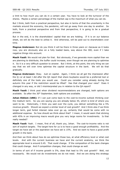a limit to how much you can do in a certain year. You have to look at the turnover of the shares. Maybe a certain percentage of the market cap is the maximum of what you can do.

But I think, both from a practical perspective, but also in terms of that the uncertainty in the markets around the economy, the pandemic, will not go away from one day to another. So both, from a practical perspective and from that perspective, it is going to be a gradual process.

But in the end, it is the shareholders' capital that we are holding. If it is on our balance sheet, we will do the best to utilise it. And otherwise, will be paid out to shareholders over time.

**Magnus Andersson:** But do you think it will be there in three years or—because as it looks now, you are obviously also on a fully loaded basis, way above the 300, even if I take negative things into account.

**Masih Yazdi:** We would not plan for that. But obviously, if we generate more capital than we are planning to distribute, the buffer could increase, even though we are planning to optimise it. So it is a very difficult question to answer. But I think, at this point, the only thing we can say that we will over time optimise the capital structure in the bank. We will do that gradually.

**Magnus Andersson:** Okay. Just on capital. Again, I think we all got the impression after the Q—or at least I did after the Q4 report that share buybacks would be a preferred tool or definitely one of the tools you would use. Could you consider using already during the autumn this year if the restriction would be lifted? Has that changed your view? Does it changed in any way, or did I misinterpreted you in relation to the Q4 report?

**Masih Yazdi:** I think post when dividend recommendations are changed, both options are available. So after the 30<sup>th</sup> September, both options are available.

**Johan Ekblom (UBS):** If I can just come back to the cost-to-income outlook thinking over the medium term. So you are saying you are already below 45, which is kind of where you want to be. Historically, I think you said over the cycle, you deliver something like a 5% revenue growth. Should we expect a similar level of cost growth? And I think also if we think longer term, god forbid interest rates ever go up, certainly that would be come with no additional expense. So how should we think about that? I mean, it would seem that sticking with 45% in an improving macro would give you very large rooms for investments. Is that really needed?

**Masih Yazdi:** Yeah. I mean, first of all, thank you, Johan. The cost-to-income ratio is not sort of explicit targets. The target here for us is to have a good enough profitability. And the target we have set or the aspiration we have set is 15%. And we want to have a good profit growth in the bank.

And then we think about how do we optimise those two, at what efficiency level or what cost levels. And with the current business we have and the current anatomy, we think the appropriate level is around 0.45. That could change. If the composition of the bank changes that could change. And if competition changes, that could change as well.

In terms of sort of if income growth is 5%, does that lead to 5% cost growth? Well, not necessarily. We would not do investments we do not need. And we are doing this strategy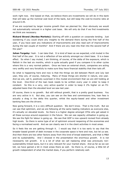work right now. And based on that, we believe there are investments we will do in this bank that will take up the nominal cost level of the bank, but still keep the cost-to-income ratio at around 0.45.

If we are surprised by larger income growth than we planned for, then obviously we would not automatically reinvest in a higher cost base. We will only do that if we find investments we think are necessary.

**Rickard Strand (Nordea Markets):** Starting off with a question on corporate lending. Just wondering if you could share any insights to the demand there during the first half of the year, if you have seen any indications of improvements and also read sort of improvements during the last couple of months? And if there are any read into that into the second half of the year?

**Johan Torgeby:** Yeah. I can take that. It is kind of been as we expected, a bit muted in the first half of the year. It is not a reflection of low activity amongst our client base. It is a base effect. So when I say muted, I am thinking, of course, of the delta of the exposure, which is flattish in the last six months, which is quite actually good if you compare it to other cycles where this is a very normal pattern. Once we have an external shock, companies are acting very swiftly and very forcefully to make sure they have financial stability that then tails off.

So what is happening here and now is that the things we did between March and July last year, they are, of course, maturing. Many of those things are shorter in nature, one year. And we are, call it, positively surprised in this muted environment that we are still holding at the level. One-third of the loan book needs to be written every year in order to keep it constant. So this is a very, very active quarter in order to keep it 2% higher on an FXadjusted basis than the elevated level we saw last year.

Of course, there is no growth. But still without growth, that is a pretty good business. You are very active in it. But also, you can see on the fees and commissions line, loan fees is actually a drag in the delta this quarter, whilst the equity-based and other investment banking fees are the drivers.

Now going forward, it is a very difficult question. We don't know. That is the truth. But we can see that optimism, and we are following all the same leading indicators as everyone else, it's actually on elevated levels. So there is a higher degree amongst CFOs who get asked in all these surveys around expansion in the future. We can see capacity utilisation is going up. We see the fight for labour is going up. We see that GDP is now upward revised from already high levels. So there is some type of air of optimism around reopening of the economies and facing a normalised world. And we can clearly see it in the client activities in most areas.

So it feels like we are getting through it. I would say that it is too early to say that the broader based growth of debt increase in the corporate space is here and now, but let us see. And then there are two other factors away from this kind of broad statement, and that is M&A and its sustainability. And I showed in the presentation the enormous growth. It is not necessarily net growth. It is a lot of what we call replacing what was previously nonsustainability-linked loans, but it is very relevant for your market share. And as far as we can tell, we have gained a bit in most areas there as well. So there is, of course, a little bit of growth independent of what the market does, if you perform relatively well.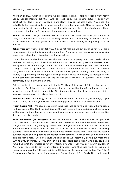And then on M&A, which is, of course, we are clearly lacking. There has been a very heavy Equity Capital Markets activity. And as Masih said, the pipeline actually looks very constructive. But it is, of course, a more slowly moving business lines. You need the volatility to be reduced under a longer period of time for large-scale M&A to happen. And they needed to, of course, often be associated with resets of the capital structures in those companies. And that is, for us, a very large potential growth driver.

**Rickard Strand:** Then just coming back to your improved inflow into AUM, just curious to hear, sort of if that is on the back of a strong market, or if it is anything related to your sort of the initiatives you highlighted in Q4 and onwards about working on improving the AUM inflow?

**Johan Torgeby:** Yeah. I can tell you, it does not feel like we get anything for free. So I would not say it is on the back of a strong market. And also, all the relative comparisons with peers clearly show that it is not for free that we get this.

I would be very humble here, and say that we come from a pretty dim history lately, where we have not had any kind of net flows to be proud of. We can clearly see over the last three, four quarters that there is slight tendencies. I do not want to be stronger than that. That has changed. And this quarter was the best one from a very low level we have seen in some time, where both institutional side, which we called AMS, private monthly savers, which is, of course, a super strong annuity type of savings product linked very closely to mortgages, IMs own distribution channels and also the market share for our Life business, all of them performed, including Private Banking.

But the number in the quarter was still at only 25 billion. It is a clear shift from what we have seen lately. But I think it is too early to say that we can see that the efforts that we have put in, which are significant to change this. It is too early to say that they are working. But at least we have no reason to believe they are not.

**Rickard Strand:** Then finally, just on the Tink divestment. If the deal goes through, if you could quantify the effect you expect in the coming quarters from that on other income?

**Masih Yazdi:** Yeah. We have not communicated that. We do have a haircut on the valuation we have done in Q2. So if the deal does go through, there will be an additional effect coming at that point in time. But we have not quantified externally how large that is going to be. But it is not a massive number.

**Sofie Peterzens (JP Morgan):** I was wondering in the retail customer or personal customers and corporate customer division, net interest income was quite weak, down 6%, but you had very strong mortgage production. But you mentioned that it is all due to the internal transfer pricing of deposits. How much of that should we expect to reverse in coming quarters? And how should we think about the net interest income here? And then my second question would be going back to the capital return potential. I realise that you want to be a little bit vague here. But how should we think about SEB potentially paying out more than 80% to 90% of profits? Do you think this is a reasonable assumption? And also, could you remind us what the process is for any interim dividends? Can you pay interim dividends? And would you consider paying any interim dividends? And then just finally on capital. I recognise you have the 100 basis points to 300 basis points management buffer. The Pillar 2 G is going up. We have some litigation cases. But what kind of Core Equity Tier 1 ratio would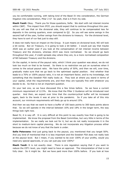you be comfortable running, with taking kind of the Basel IV into consideration, the German litigation into consideration, Pillar 2 G? So yeah, that is it from my side.

**Masih Yazdi:** Okay. Thank you for those questions, Sofie. We start with net interest income within C&PC. This impact from IFCP, you should expect that to continue throughout this year. So you will see that on the divisional side, they will continue to be compensated less for deposits in the coming quarters, even compared to Q2. So you will see some swings in the second half of the year, further swings from the divisions to treasury. For the divisional level, they have to sort of run fast just to stay still.

It does not really have an impact on the Group. It just means on divisional level, NII will look a bit worse. But on Treasury, it is going to look a bit better. I would just say that maybe 2020 was an outlier year if you look at the compensation of net interest income between Treasury and the divisions, whereas 2019 was more normalised. So we should go back throughout this year, if credit spreads stay where they are, to a more normalised composition of NII between Treasury and the divisions.

On the capital, in terms of the payout ratio, which I think your question was about, we do not look too much on that to be honest. So there is no restriction we put on ourselves when it comes to the actual payout ratio. We have the policy of 50%, and then we will, over time, gradually make sure that we go back to the optimised capital position. And whether that leads to a 70% or 100% payout ratio, it is not an important factor, and to my knowledge, not something that the Swedish FSA really looks at. They look at where you stand in terms of your capital, what the requirements are, and then they are typically fine with whatever you decide to do. So that is not an important question.

On your last one, so we have discussed this a few times before. So we have a current minimum requirement of 12.5%. We know that the Pillar 2 Guidance will be introduced next quarter. And then, we expect over time that the countercyclical buffer will be increased again, back to the levels it was at prior to the pandemic. So if you take all of this into account, our minimum requirements will likely go up to around 15%.

And then we say that we want to have a buffer of 100 basis points to 300 basis points above that. So we will operate in the interval between 16% and 18% in the longer term, the way things look right now.

Basel IV, it is way off. It is very difficult at this point to say exactly how that is going to be implemented. We know the proposal from the Basel Committee, but very little in terms of the implementation. So we really we look out for it, but we do not really incorporate it in the short to medium-term capital planning. We do not incorporate any litigation process either because we do not know of any that the bank is under.

**Sofie Peterzens:** And just going back to the payout, you mentioned that you target 50%. And you kind of mentioned that it is less important and the Swedish FSA does not really look at the payout level. But I mean, if you wanted to be over 100% of your profits, would you need any special approvals, or you can just pay over 100%?

**Masih Yazdi:** It is not exactly clear. There is one regulation saying that if you want to reduce the CET1 level, you might need to have an approval. The interpretation of that is not fully clear. So it might be. But we have paid more than 100% before. If you look at how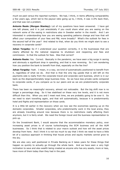much we paid versus the reported numbers. We had, I think, in items affecting comparability a few years ago, which led to the payout ratio going up to, I think, it was 113% back then, and that was not a problem.

**Antonio Reale (Morgan Stanley):** Lot of my questions have been answered. I have got one left please, and it is just anecdotally if you could share what you are seeing on the network some of the easing in restrictions also in Sweden earlier in the month. And I am interested in understanding how you are seeing spending patterns change and how that will affect your composition of your fees and P&L more broadly? What's the outlook for fees in the second half of the year? And related to that, when do you think we might start to see a recovery in corporate cards?

**Johan Torgeby:** So if I understood your question correctly, it is the businesses that are clearly affected by the national response to shutdown and reopening and fees and commission. Is that the outlook for fees. Was that correct?

**Antonio Reale:** Yes. Correct. Basically in the pandemic, we have seen a big surge in saving and obviously a significant drop in spending, and that is now reversing. So I am wondering how you position the bank to benefit from that, especially on the fee line?

**Johan Torgeby:** Yeah. I mean, in a way, we kind of automatically positioned to benefit from it, regardless of what we do. And that is that the only big upside that is still left on the payments side is really from the corporate travel and corporate card business, which is in our bank as the disproportionately large business lines. So we have less private cards compared to corporate cards, if you compare us to our peers and as we are predominantly corporate bank.

There has been no meaningful recovery, almost not noticeable. But the big shift now is no longer a percentage drag. So it has stabilised on these very low levels, and it is not more difficult than this. When you and I meet next time, we are probably going to be over it. So we need to start travelling again, and that will automatically, because it is predominantly hotel and flights and representation on those cards.

It is a little bit earlier in the recovery when we now see the economies opening up on the domestic corporates. Smaller corporates, who predominantly work in the local arena, they are already travelling around now because there is no restrictions really affecting them anymore, but it is fairly small. We need the foreign travel and the business representation to pick up.

On the Investment Bank, I would assume that the accommodative monetary policy, ever increasing asset prices is of course turbocharging the ECM business and all the AUM businesses. So I think that is related to your macro outlook and how will the asset prices develop from here. And I think it is not too much to say that I think we need to have a little bit of a cautious approach in thinking that house prices and equity markets cannot grow to the sky.

We are also very well positioned in Private Banking as it takes years for these things that happen so quickly to actually go through the whole bank. And we have seen a very high inclination to save and also wealth being created as anyone who has any assets, more or less, have more of them today than they had in the past.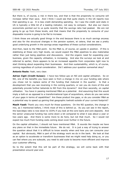But there is, of course, a risk in there too, and that is that the propensity to consume will increase rather than save. And I think I could see that quite clearly in the US reports now that spending is up. It is less credit demanding spending. So I saw the credit card stats in US is typically a little bit of a leading indicator, not easy to compare. But also our macro economists pointed out to us quite recently that the savings ratio had peaked. We are not going to go up from these levels, and that means that the propensity to consume of your disposable income is going to be flat to increase.

I think those are actually good things in the end because there is so much savings anyway and also for the structural changes in the pension system, et cetera, that we see a pretty good underlying growth in the savings areas regardless of these cyclical considerations.

And then, back to the M&A point. So the M&A is, of course, an upside in position. If this is stabilising at these very high levels, we would expect the M&A pipelines to also materialise rather than just being pipelines and discussions. And the organic need for expanding your business, given the capacity utilisation, is increasing. And also the surveys we look at and referred to earlier, there appears to be an increased appetite from corporates right now to start thinking about expanding their businesses. And then sustainability, which is, of course, coming regardless of cyclical consideration. Did I address your question somewhat okay?

**Antonio Reale:** Yeah, very clear.

**Adrian Cighi (Credit Suisse):** I have two follow-ups on NII and capital utilisation. So on NII, one of the benefits you have seen is from a change in mix on your funding side where you chose not to replace some of the funding that matured in the quarter. Is that a development that you see reversing in the coming quarters, or can you do more of this and potentially provide further tailwinds to NII from this dynamic? And then secondly, on capital utilisation. You have in passing mentioned M&A as a potential. And assuming that this would imply a bolt-on as opposed to a transformational type of acquisitions, where do you see some of your gaps in terms of capabilities? Are these product line gaps, or do you consider M&A as a potential way to speed up gaining that geographic toehold outside of your current footprint?

**Masih Yazdi:** Thank you very much for those questions. On the NII question, the change in mix, as I mentioned before, I think most of this is behind us. As you can see in the report, the loan/depo ratio is now down to 103% if you look at the core loans and core deposits. And the senior unsecured funding has come down a bit compared to what it was about a year or two years ago. And there is some more to do here, but not that much. So I would not expect too much from funding costs coming down even further in the future.

On the capital utilisation, I should not have mentioned M&A. It sounds like maybe we have any plans on that in the immediate future. We do not. It is just a way of trying to answer the question about that it is difficult to know exactly when and how you can consume your capital. But obviously, M&A is part of the strategy work we do in the bank. We look at that as an option to accelerate or transform businesses that we might need help doing so, or you can feel where you are subscale, you need to add scale to become more efficient and improve your customer offering.

So to the extent that this will be part of the strategy, we will come back with that presentation around year-end.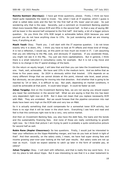**Namita Samtani (Barclays):** I have got three questions, please. Firstly, I think we have heard quite repeatedly the need to invest. Yes, when I look at IT expense, which I guess is what is called data costs and the fact for the first half at 6% lower year-on-year. So just wondering why that is the case. Secondly, just a comment on Investment Banking pipeline tilted more towards M&A versus ECM and IPOs in the second half. Is that a way of saying IBC will be lower in the second half compared to the first half? And lastly, a bit of a bigger picture question. Do you think the 15% ROE target is achievable before 2024 because you said yourself you do not have anything close to 15%. So just wondering what we are missing here, if anything at all.

**Masih Yazdi:** Okay. Thank you. I will start with the IT expense question. I do not know exactly why it is down, 6%. I think you have to look at FX effects and those kind of things. It is not a reflection, I would say, at this point on how much we invest in IT. I am assuming that you are referring to the P&L cost, and obviously IT expenses. If you accelerate those, you might not see it in the P&L. You just see more capitalisations. But in general, I think there is a small reduction in consultancy costs, for example. But it is not a big move and there is no change in the IT spend strategy of the bank.

On the return on equity target, I will take that and then you can take the Investment Banking one. Yeah, well, achievable. We have said 15% in the medium term. And we define that as three to five years away. So 2024 is obviously within that bracket. 15% depends on so many different things that we cannot dictate at this point, interest rate level, asset prices. But obviously, we are planning for moving into that direction. And whether that is going to be reached by '24 or later, it is difficult to say. But yeah, depending on market conditions, it could be achievable at that point. It could take longer. It could be faster as well.

**Johan Torgeby:** And on the Investment Banking fees, we are not saying you should expect any lower fee contribution in the second half. What we are saying is that the mix has been very dependent right now on ECM. But it does not mean that you replace necessarily ECM with M&A. They are unrelated. But we would foresee that the pipeline conversion into real deals have been very high on the ECM side and very low on M&A.

So it is actually something that could compensate for a somewhat lower ECM activity, but there is no sign that it will be lower in the short term. Everything I see here and read and feel is that this continues right now to be a very, very active market.

And then on Investment Banking fees, you also have the debt fees, the loans and the bonds and the sustainability financing fees. And none of those are really contributing to growth right now. So I think that picture I am trying to paint is probably a quite constructive picture for second half as well.

**Robin Rane (Kepler Cheuvreux):** So two questions. Firstly, I would just be interested to hear your reflections on the Vipps-MobilePay merger, and how do you look at Swish in light of that? And then secondly, on the salary costs, I mean, we have had super strong fees and income growing year-over-year looking at the half year results. But salary costs are not up near as much. Could we expect salaries to catch up later in the form of variable pay, et cetera?

**Johan Torgeby:** Okay. I will start with reflection, and that is really the key word here. It is not my place to talk about Vipps. But it was interesting to see that it is a clear testament to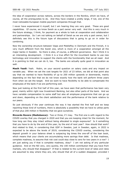the idea of cooperation across nations, across the borders in the Nordics, which we have, of course, all the prerequisites to do. And they have created a pretty large, if not, one of the most noticeable European mobile payment companies through that.

I never have experienced it myself, but I am hearing they are very good. These are good capabilities. Of course, we know Swish as a part owner very well. And this is very much in the future strategy, I think, for payment as a whole to look at cooperation and collaboration and partnerships. So I am not talking on behalf of Swish as we are only a part owner, but I definitely see this is the future type of discussions that is going to go on in order for combining.

Now the ownership structure between Vipps and MobilePay in Denmark and the Finnish, it is very much different from the Swish one, which is more of a cooperation amongst all the major banks in Sweden. So there is also, of course, a different governance. But I think it is an interesting development. I think it is a true effort for the incumbent banks to use new technology and innovation to support the clients with the functionality that we all need. And it is pointing to that we can do it, too. The banks are actually quite good in innovation as well.

**Masih Yazdi:** Yeah. Robin, on your second question on salary costs and any impact on variable pay. When we set the cost targets for 2021 of 23 billion, we did at that point also say that we wanted to have flexibility of up to 200 million upwards or downwards, mainly depending on the fact that we do not know exactly how the bank will perform three years from when we set the target. And we want to have flexibility to be able to compensate the employees of the bank if we are performing well.

Now just looking at the first half of this year, we have seen that performance has been very good, mainly within right now Investment Banking, but also other parts of the bank. And we have variable compensation to some staff but also all employee programme that can go up and down, depending on the client satisfaction and the performance of the bank relative to our peers.

So just obviously if the year continues the way it has started the first half and we keep reporting these kind of numbers, there is absolutely a possibility that we have to utilise parts of that plus 200 million in flexibility that we gave ourselves.

**Riccardo Rovere (Mediobanca):** Two or three, if I may. The first one is with regard to the COVID overlay that you charged in 2020 and that you are keeping intact for the moment, for how long can they stay intact without being allocated to single exposures? Is it something that you have to do by the end of this year, by the end of next year? How should that work? And related to that, in considering that GDP in Sweden, just in Sweden, again, in 2022 is expected to be above the levels of 2019, considering the COVID overlay, considering the deposit growth in your balance sheet is outpacing big times the one-off of the loan book, which means that your clients are accumulating more savings than debt. Is that madness, complete madness, to assume that risk cost could stay close to zero for two years in a row? I am just asking you if that is complete madness, okay? I am not asking of any particular guidance. And on the NII very, very quickly, the 100 million contribution that you have from markets, why should that disappear? If that is related to the current level of rates and rates are assumed to stay where they are, why should that all of a sudden disappear, provided I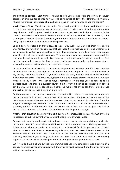am getting it correct. Last thing I wanted to ask you is that, with the return on equity basically in this quarter aligned to your long-term target of 15%, the difference is minimal, what is the financial advantage of a buyback instead of cash dividends to use the capital?

**Masih Yazdi:** Okay. Thank you, Riccardo. Very good questions. If I start with the first one on the model overlay provisions we have taken, that typically is sort of to the extent you can keep them on portfolio group level, it is very much a discussion with the accountants, to be honest. You discuss what the uncertainty is about the future, whether that uncertainty is on counterparty level or whether there is a general uncertainty in the market where you cannot really say for what exposures you need the provisions.

So it is going to depend on that discussion also. Obviously, our view and their view on the uncertainty, and whether you can say that you need these reserves or not and whether you can allocate to certain counterparties or not. But obviously, in the long term, you cannot keep this kind of sort of model overlays. This was something that everyone encouraged the banks to do and we did it as well. But I am sure that when you feel certain about the fact that the pandemic is over, this has to be utilised in one way or other, either recoveries or allocated to counterparties where you have seen issues.

On your question about sort of the macro development and whether the ECL level could be close to zero? Yes, it all depends on sort of your macro assumptions. So it is very difficult to say exactly. We have had that. If you look at it in the past, we have high level certain years in the financial crisis. And then you typically have a few years afterwards we have very low levels for many years. And then it maybe normalises, or like last year, it goes up to an elevated level, and then it is typically lower. So it is very difficult to say exactly how long it can be low. It is going to depend on macro. So we do not try to call that. But it is not impossible, obviously, that it stays on a low level.

On the question on net interest income and the 100 million related to markets, we do not say that it is going to disappear. So what we have tried to do in the past is that we look at the net interest income within our markets business. And as soon as that has deviated from the long-term average, we have tried to be transparent around that. So we look at the last eight quarters, and if it is different this time, we tell you about that. And we can just note that in the last three quarters, it has been elevated versus the long-term average.

Whether that elevation goes away the next quarter, it is impossible to say. We just try to be transparent about the current levels versus the long-term average levels.

On your last question on the fact that we have a return now close to our ambitions, obviously, that is with lower ECL levels than we think we will have in normal times. The way we look at dividends and share buybacks, it is mainly from a financial flexibility perspective. I think when it comes to the financial engineering side of it, you can have different views on the values of one or the other. But if you look at the financial flexibility side of it, you can obviously see that if you do large dividends, and you have done them and then something happens days or weeks or months post the dividend, you cannot pull the capital back.

But if you do have a share buyback programme that you are conducting over a course of a period, if something happens unexpected, then you can just suspend it and then you have not paid all the capital out.